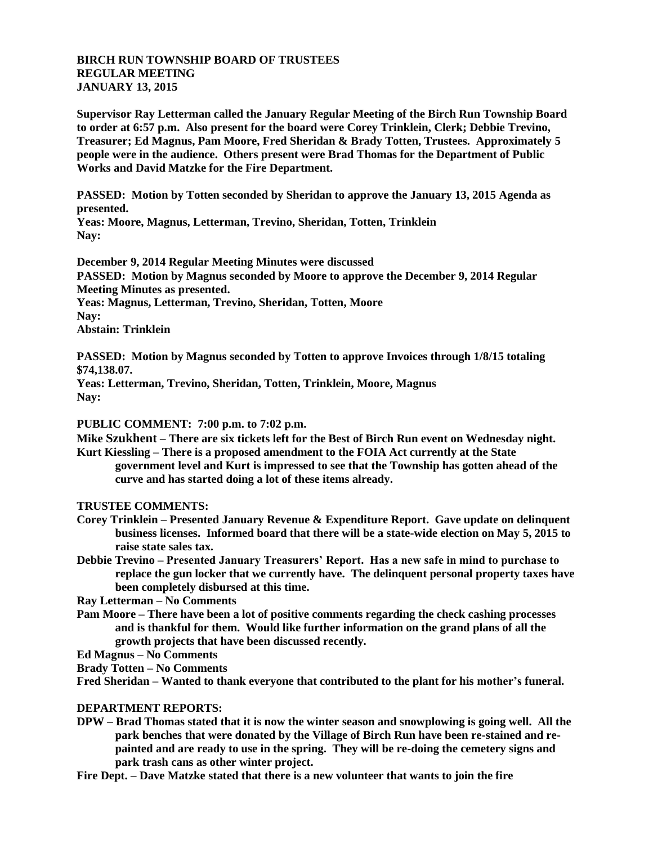## **BIRCH RUN TOWNSHIP BOARD OF TRUSTEES REGULAR MEETING JANUARY 13, 2015**

**Supervisor Ray Letterman called the January Regular Meeting of the Birch Run Township Board to order at 6:57 p.m. Also present for the board were Corey Trinklein, Clerk; Debbie Trevino, Treasurer; Ed Magnus, Pam Moore, Fred Sheridan & Brady Totten, Trustees. Approximately 5 people were in the audience. Others present were Brad Thomas for the Department of Public Works and David Matzke for the Fire Department.**

**PASSED: Motion by Totten seconded by Sheridan to approve the January 13, 2015 Agenda as presented.**

**Yeas: Moore, Magnus, Letterman, Trevino, Sheridan, Totten, Trinklein Nay:**

**December 9, 2014 Regular Meeting Minutes were discussed PASSED: Motion by Magnus seconded by Moore to approve the December 9, 2014 Regular Meeting Minutes as presented.**

**Yeas: Magnus, Letterman, Trevino, Sheridan, Totten, Moore Nay: Abstain: Trinklein**

**PASSED: Motion by Magnus seconded by Totten to approve Invoices through 1/8/15 totaling \$74,138.07.**

**Yeas: Letterman, Trevino, Sheridan, Totten, Trinklein, Moore, Magnus Nay:**

**PUBLIC COMMENT: 7:00 p.m. to 7:02 p.m.**

**Mike Szukhent – There are six tickets left for the Best of Birch Run event on Wednesday night.**

**Kurt Kiessling – There is a proposed amendment to the FOIA Act currently at the State government level and Kurt is impressed to see that the Township has gotten ahead of the curve and has started doing a lot of these items already.**

## **TRUSTEE COMMENTS:**

- **Corey Trinklein – Presented January Revenue & Expenditure Report. Gave update on delinquent business licenses. Informed board that there will be a state-wide election on May 5, 2015 to raise state sales tax.**
- **Debbie Trevino – Presented January Treasurers' Report. Has a new safe in mind to purchase to replace the gun locker that we currently have. The delinquent personal property taxes have been completely disbursed at this time.**

**Ray Letterman – No Comments**

**Pam Moore – There have been a lot of positive comments regarding the check cashing processes and is thankful for them. Would like further information on the grand plans of all the growth projects that have been discussed recently.**

**Ed Magnus – No Comments**

**Brady Totten – No Comments**

**Fred Sheridan – Wanted to thank everyone that contributed to the plant for his mother's funeral.**

## **DEPARTMENT REPORTS:**

- **DPW – Brad Thomas stated that it is now the winter season and snowplowing is going well. All the park benches that were donated by the Village of Birch Run have been re-stained and repainted and are ready to use in the spring. They will be re-doing the cemetery signs and park trash cans as other winter project.**
- **Fire Dept. – Dave Matzke stated that there is a new volunteer that wants to join the fire**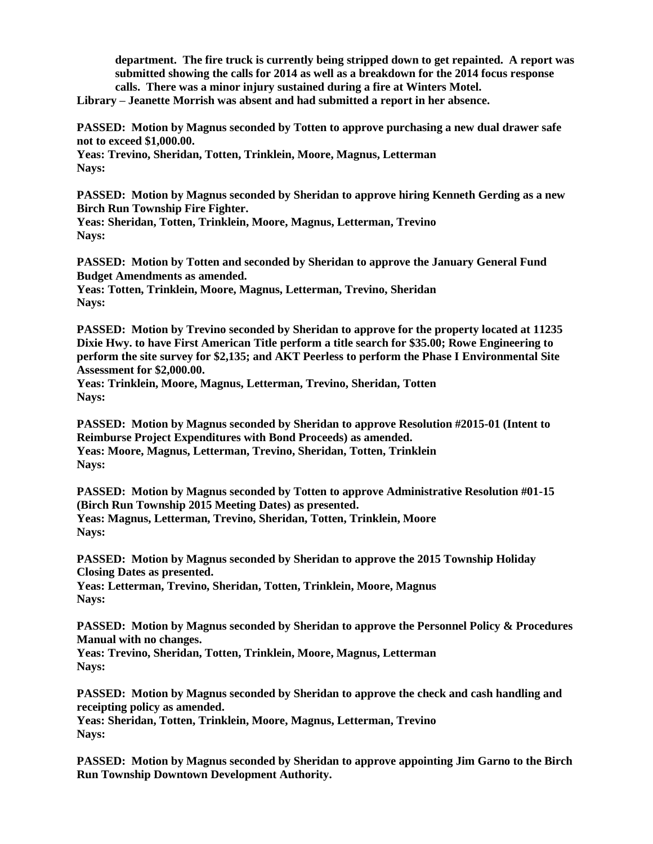**department. The fire truck is currently being stripped down to get repainted. A report was submitted showing the calls for 2014 as well as a breakdown for the 2014 focus response calls. There was a minor injury sustained during a fire at Winters Motel.**

**Library – Jeanette Morrish was absent and had submitted a report in her absence.**

**PASSED: Motion by Magnus seconded by Totten to approve purchasing a new dual drawer safe not to exceed \$1,000.00.**

**Yeas: Trevino, Sheridan, Totten, Trinklein, Moore, Magnus, Letterman Nays:**

**PASSED: Motion by Magnus seconded by Sheridan to approve hiring Kenneth Gerding as a new Birch Run Township Fire Fighter.**

**Yeas: Sheridan, Totten, Trinklein, Moore, Magnus, Letterman, Trevino Nays:**

**PASSED: Motion by Totten and seconded by Sheridan to approve the January General Fund Budget Amendments as amended.**

**Yeas: Totten, Trinklein, Moore, Magnus, Letterman, Trevino, Sheridan Nays:**

**PASSED: Motion by Trevino seconded by Sheridan to approve for the property located at 11235 Dixie Hwy. to have First American Title perform a title search for \$35.00; Rowe Engineering to perform the site survey for \$2,135; and AKT Peerless to perform the Phase I Environmental Site Assessment for \$2,000.00.**

**Yeas: Trinklein, Moore, Magnus, Letterman, Trevino, Sheridan, Totten Nays:**

**PASSED: Motion by Magnus seconded by Sheridan to approve Resolution #2015-01 (Intent to Reimburse Project Expenditures with Bond Proceeds) as amended. Yeas: Moore, Magnus, Letterman, Trevino, Sheridan, Totten, Trinklein Nays:** 

**PASSED: Motion by Magnus seconded by Totten to approve Administrative Resolution #01-15 (Birch Run Township 2015 Meeting Dates) as presented. Yeas: Magnus, Letterman, Trevino, Sheridan, Totten, Trinklein, Moore Nays:** 

**PASSED: Motion by Magnus seconded by Sheridan to approve the 2015 Township Holiday Closing Dates as presented.**

**Yeas: Letterman, Trevino, Sheridan, Totten, Trinklein, Moore, Magnus Nays:** 

**PASSED: Motion by Magnus seconded by Sheridan to approve the Personnel Policy & Procedures Manual with no changes.**

**Yeas: Trevino, Sheridan, Totten, Trinklein, Moore, Magnus, Letterman Nays:** 

**PASSED: Motion by Magnus seconded by Sheridan to approve the check and cash handling and receipting policy as amended.**

**Yeas: Sheridan, Totten, Trinklein, Moore, Magnus, Letterman, Trevino Nays:** 

**PASSED: Motion by Magnus seconded by Sheridan to approve appointing Jim Garno to the Birch Run Township Downtown Development Authority.**